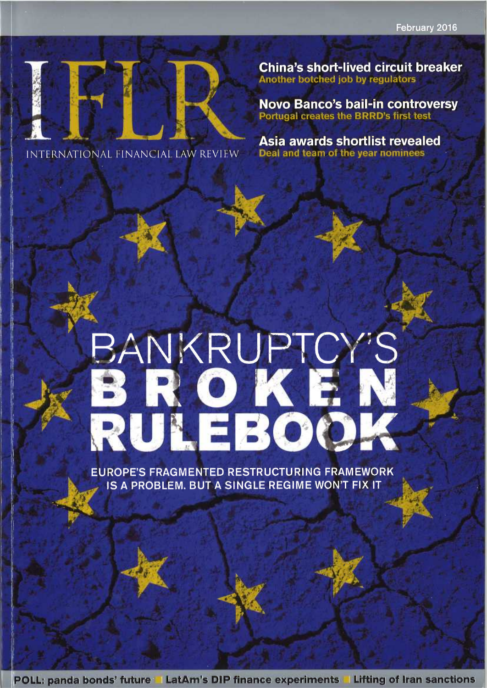

INTERNATIONAL FINANCIAL LAW REVIEW

**China's short-lived circuit breaker Another botched job by regulators** 

**Novo Banco's bail-in controversy** Portugal creates the BRRD's first test

Asia awards shortlist revealed Deal and team of the year nominees

# BANKRUPTCY'S<br>BROKEN

**EUROPE'S FRAGMENTED RESTRUCTURING FRAMEWORK** IS A PROBLEM. BUT A SINGLE REGIME WON'T FIX IT

POLL: panda bonds' future la LatAm's DIP finance experiments la Lifting of Iran sanctions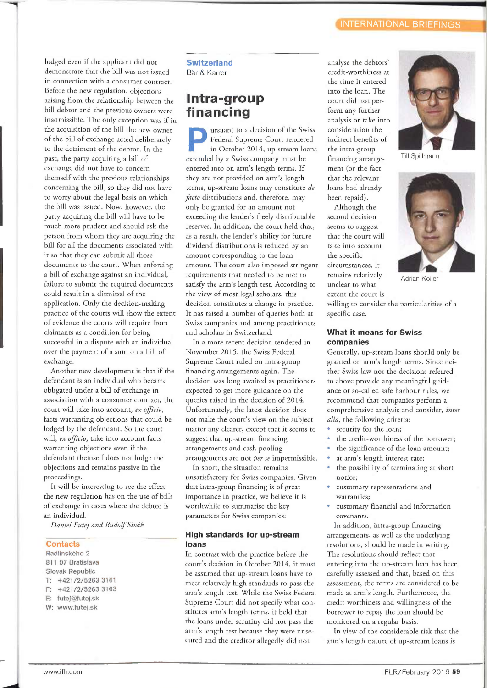lodged even if the applicant did not demonstrate that the bill was not issued in connection with a consumer contract. Before the new regulation, objections arising from the relationship between the bill debtor and the previous owners were inadmissible. The only exception was if in the acquisition of the bill the new owner of the bill of exchange acted deliberately to the detriment of the debtor. In the past, the party acquiring a bill of exchange did not have to concern themself with the previous relationships concerning the bill, so they did not have to worry about the legal basis on which the bill was issued. Now, however, the party acquiring the bill will have to be much more prudent and should ask the person from whom they are acquiring the bill for all the documents associated with it so that they can submit all those documents to the court. When enforcing a bill of exchange against an individual, failure to submit the required documents could result in a dismissal of the application. Only the decision-making practice of the courts will show the extent of evidence the courts will require from claimants as a condition for being successful in a dispute with an individual over the payment of a sum on a bill of exchange.

Another new development is that if the defendant is an individual who became obligated under a bill of exchange in association with a consumer contract, the court will take into account, ex officio, facts warranting objections that could be lodged by the defendant. So the court will, ex officio, take into account facts warranting objections even if the defendant themself does not lodge the objections and remains passive in the proceedings.

It will be interesting to see the effect the new regulation has on the use of bills of exchange in cases where the debtor is an individual.

Daniel Futej and Rudolf Sivâk

### **Contacts**

Radlínského 2 811 07 Bratislava Slovak Republic T: +421 /2/5263 3161 F; +421/2/5263 3163 E: futej@futej.sk W: www.futej.sk

### **Switzerland** Bär & Karrer

## Intra-group financing

ursuant to a decision of the Swiss Federal Supreme Court rendered in October 2014, up-stream loans extended by a Swiss company must be entered into on arm's length terms. If they are not provided on arm's length terms, up-stream loans may constitute de facto distributions and, therefore, may only be granted for an amount not exceeding the lender's freely distributable reserves. In addition, the court held that, as a result, the lender's ability for future dividend distributions is reduced by an amount corresponding to the loan amount. The court also imposed stringent requirements that needed to be met to satisfy the arm's length test. According to the view of most legal scholars, this decision constitutes a change in practice. It has raised a number of queries both at Swiss companies and among practitioners and scholars in Switzerland.

In a more recent decision rendered in November 2015, the Swiss Federal Supreme Court ruled on intra-group financing arrangements again. The decision was long awaited as practitioners expected to get more guidance on the queries raised in the decision of 2014. Unfortunately, the latest decision does not make the court's view on the subject matter any clearer, except that it seems to suggest that up-stream financing arrangements and cash pooling arrangements are not per se impermissible.

In short, the situation remains unsatisfactory for Swiss companies. Given that intra-group financing is of great importance in practice, we believe it is worthwhile to summarise the key parameters for Swiss companies:

### High standards for up-stream loans

In contrast with the practice before the court's decision in October 2014, it must be assumed that up-stream loans have to meet relatively high standards to pass the arm's length test. While the Swiss Federal Supreme Court did not specify what constitutes arm's length terms, it held that the loans under scrutiny did not pass the arm's length test because they were unsecured and the creditor allegedly did not

analyse the debtors' credit-worthiness at the time it entered into the loan. The court did not perform any further analysis or take into consideration the indirect benefits of the intra-group financing arrangement (or the fact that the relevant loans had already been repaid).

Although the second decision seems to suggest that the court will take into account the specific circumstances, it remains relatively unclear to what extent the court is



### What it means for Swiss companies

Generally, up-stream loans should only be granted on arm's length terms. Since neither Swiss law nor the decisions referred to above provide any meaningful guidance or so-called safe harbour rules, we recommend that companies perform a comprehensive analysis and consider, inter alia, the following criteria:

- security for the loan;
- the credit-worthiness of the borrower;
- the significance of the loan amount;
- at arm's length interest rate;
- the possibility of terminating at short notice;
- customary representations and warranties;
- customary financial and information covenants.

In addition, intra-group financing arrangements, as well as the underlying resolutions, should be made in writing. The resolutions should reflect that entering into the up-stream loan has been carefully assessed and that, based on this assessment, the terms are considered to be made at arm's length. Furthermore, the credit-worthiness and willingness of the borrower to repay the loan should be monitored on a regular basis.

In view of the considerable risk that the arm's length nature of up-stream loans is



Till Spillmann



0